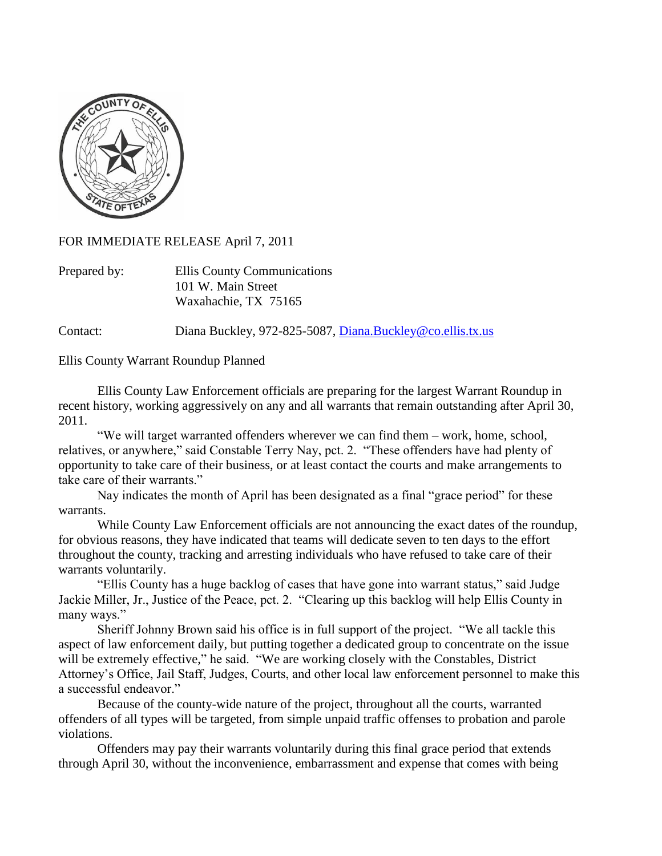

FOR IMMEDIATE RELEASE April 7, 2011

| Prepared by: | Ellis County Communications |
|--------------|-----------------------------|
|              | 101 W. Main Street          |
|              | Waxahachie, TX 75165        |

Contact: Diana Buckley, 972-825-5087, [Diana.Buckley@co.ellis.tx.us](mailto:Diana.Buckley@co.ellis.tx.us)

Ellis County Warrant Roundup Planned

Ellis County Law Enforcement officials are preparing for the largest Warrant Roundup in recent history, working aggressively on any and all warrants that remain outstanding after April 30, 2011.

"We will target warranted offenders wherever we can find them – work, home, school, relatives, or anywhere," said Constable Terry Nay, pct. 2. "These offenders have had plenty of opportunity to take care of their business, or at least contact the courts and make arrangements to take care of their warrants."

Nay indicates the month of April has been designated as a final "grace period" for these warrants.

While County Law Enforcement officials are not announcing the exact dates of the roundup, for obvious reasons, they have indicated that teams will dedicate seven to ten days to the effort throughout the county, tracking and arresting individuals who have refused to take care of their warrants voluntarily.

"Ellis County has a huge backlog of cases that have gone into warrant status," said Judge Jackie Miller, Jr., Justice of the Peace, pct. 2. "Clearing up this backlog will help Ellis County in many ways."

Sheriff Johnny Brown said his office is in full support of the project. "We all tackle this aspect of law enforcement daily, but putting together a dedicated group to concentrate on the issue will be extremely effective," he said. "We are working closely with the Constables, District Attorney's Office, Jail Staff, Judges, Courts, and other local law enforcement personnel to make this a successful endeavor."

Because of the county-wide nature of the project, throughout all the courts, warranted offenders of all types will be targeted, from simple unpaid traffic offenses to probation and parole violations.

Offenders may pay their warrants voluntarily during this final grace period that extends through April 30, without the inconvenience, embarrassment and expense that comes with being